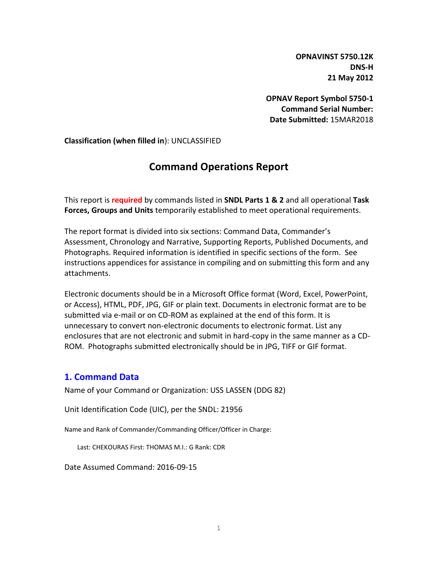**OPNAVINST 5750.12K DNS-H 21 May 2012**

**OPNAV Report Symbol 5750-1 Command Serial Number: Date Submitted:** 15MAR2018

**Classification (when filled in**): UNCLASSIFIED

# **Command Operations Report**

This report is **required** by commands listed in **SNDL Parts 1 & 2** and all operational **Task Forces, Groups and Units** temporarily established to meet operational requirements.

The report format is divided into six sections: Command Data, Commander's Assessment, Chronology and Narrative, Supporting Reports, Published Documents, and Photographs. Required information is identified in specific sections of the form. See instructions appendices for assistance in compiling and on submitting this form and any attachments.

Electronic documents should be in a Microsoft Office format (Word, Excel, PowerPoint, or Access), HTML, PDF, JPG, GIF or plain text. Documents in electronic format are to be submitted via e-mail or on CD-ROM as explained at the end of this form. It is unnecessary to convert non-electronic documents to electronic format. List any enclosures that are not electronic and submit in hard-copy in the same manner as a CD-ROM. Photographs submitted electronically should be in JPG, TIFF or GIF format.

### **1. Command Data**

Name of your Command or Organization: USS LASSEN (DDG 82)

Unit Identification Code (UIC), per the SNDL: 21956

Name and Rank of Commander/Commanding Officer/Officer in Charge:

Last: CHEKOURAS First: THOMAS M.I.: G Rank: CDR

Date Assumed Command: 2016-09-15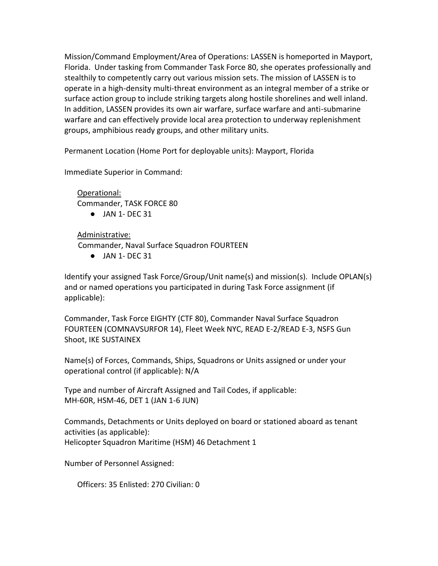Mission/Command Employment/Area of Operations: LASSEN is homeported in Mayport, Florida. Under tasking from Commander Task Force 80, she operates professionally and stealthily to competently carry out various mission sets. The mission of LASSEN is to operate in a high-density multi-threat environment as an integral member of a strike or surface action group to include striking targets along hostile shorelines and well inland. In addition, LASSEN provides its own air warfare, surface warfare and anti-submarine warfare and can effectively provide local area protection to underway replenishment groups, amphibious ready groups, and other military units.

Permanent Location (Home Port for deployable units): Mayport, Florida

Immediate Superior in Command:

Operational: Commander, TASK FORCE 80

● JAN 1- DEC 31

Administrative:

Commander, Naval Surface Squadron FOURTEEN

 $\bullet$  JAN 1- DEC 31

Identify your assigned Task Force/Group/Unit name(s) and mission(s). Include OPLAN(s) and or named operations you participated in during Task Force assignment (if applicable):

Commander, Task Force EIGHTY (CTF 80), Commander Naval Surface Squadron FOURTEEN (COMNAVSURFOR 14), Fleet Week NYC, READ E-2/READ E-3, NSFS Gun Shoot, IKE SUSTAINEX

Name(s) of Forces, Commands, Ships, Squadrons or Units assigned or under your operational control (if applicable): N/A

Type and number of Aircraft Assigned and Tail Codes, if applicable: MH-60R, HSM-46, DET 1 (JAN 1-6 JUN)

Commands, Detachments or Units deployed on board or stationed aboard as tenant activities (as applicable): Helicopter Squadron Maritime (HSM) 46 Detachment 1

Number of Personnel Assigned:

Officers: 35 Enlisted: 270 Civilian: 0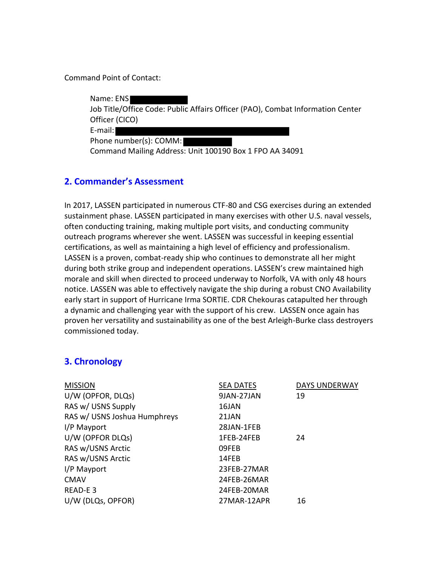Command Point of Contact:

Name: ENS Job Title/Office Code: Public Affairs Officer (PAO), Combat Information Center Officer (CICO) E-mail: Phone number(s): COMM: Command Mailing Address: Unit 100190 Box 1 FPO AA 34091

## **2. Commander's Assessment**

In 2017, LASSEN participated in numerous CTF-80 and CSG exercises during an extended sustainment phase. LASSEN participated in many exercises with other U.S. naval vessels, often conducting training, making multiple port visits, and conducting community outreach programs wherever she went. LASSEN was successful in keeping essential certifications, as well as maintaining a high level of efficiency and professionalism. LASSEN is a proven, combat-ready ship who continues to demonstrate all her might during both strike group and independent operations. LASSEN's crew maintained high morale and skill when directed to proceed underway to Norfolk, VA with only 48 hours notice. LASSEN was able to effectively navigate the ship during a robust CNO Availability early start in support of Hurricane Irma SORTIE. CDR Chekouras catapulted her through a dynamic and challenging year with the support of his crew. LASSEN once again has proven her versatility and sustainability as one of the best Arleigh-Burke class destroyers commissioned today.

## **3. Chronology**

| <b>MISSION</b>               | <b>SEA DATES</b> | <b>DAYS UNDERWAY</b> |
|------------------------------|------------------|----------------------|
| U/W (OPFOR, DLQs)            | 9JAN-27JAN       | 19                   |
| RAS w/ USNS Supply           | 16JAN            |                      |
| RAS w/ USNS Joshua Humphreys | 21JAN            |                      |
| I/P Mayport                  | 28JAN-1FEB       |                      |
| U/W (OPFOR DLQs)             | 1FEB-24FEB       | 24                   |
| RAS w/USNS Arctic            | 09FEB            |                      |
| RAS w/USNS Arctic            | 14FEB            |                      |
| I/P Mayport                  | 23FEB-27MAR      |                      |
| <b>CMAV</b>                  | 24FEB-26MAR      |                      |
| READ-E3                      | 24FEB-20MAR      |                      |
| U/W (DLQs, OPFOR)            | 27MAR-12APR      | 16                   |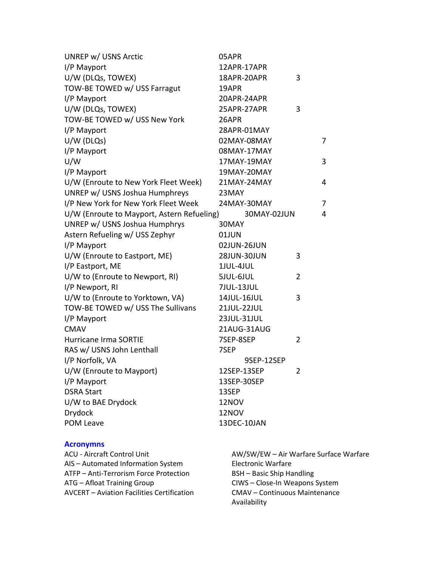| UNREP w/ USNS Arctic                       | 05APR       |                |
|--------------------------------------------|-------------|----------------|
| I/P Mayport                                | 12APR-17APR |                |
| U/W (DLQs, TOWEX)                          | 18APR-20APR | 3              |
| TOW-BE TOWED w/ USS Farragut               | 19APR       |                |
| I/P Mayport                                | 20APR-24APR |                |
| U/W (DLQs, TOWEX)                          | 25APR-27APR | 3              |
| TOW-BE TOWED w/ USS New York               | 26APR       |                |
| I/P Mayport                                | 28APR-01MAY |                |
| $U/W$ (DLQs)                               | 02MAY-08MAY | 7              |
| I/P Mayport                                | 08MAY-17MAY |                |
| U/W                                        | 17MAY-19MAY | 3              |
| I/P Mayport                                | 19MAY-20MAY |                |
| U/W (Enroute to New York Fleet Week)       | 21MAY-24MAY | 4              |
| UNREP w/ USNS Joshua Humphreys             | 23MAY       |                |
| I/P New York for New York Fleet Week       | 24MAY-30MAY | 7              |
| U/W (Enroute to Mayport, Astern Refueling) | 30MAY-02JUN | 4              |
| UNREP w/ USNS Joshua Humphrys              | 30MAY       |                |
| Astern Refueling w/ USS Zephyr             | 01JUN       |                |
| I/P Mayport                                | 02JUN-26JUN |                |
| U/W (Enroute to Eastport, ME)              | 28JUN-30JUN | 3              |
| I/P Eastport, ME                           | 1JUL-4JUL   |                |
| U/W to (Enroute to Newport, RI)            | 5JUL-6JUL   | $\overline{2}$ |
| I/P Newport, RI                            | 7JUL-13JUL  |                |
| U/W to (Enroute to Yorktown, VA)           | 14JUL-16JUL | 3              |
| TOW-BE TOWED w/ USS The Sullivans          | 21JUL-22JUL |                |
| I/P Mayport                                | 23JUL-31JUL |                |
| <b>CMAV</b>                                | 21AUG-31AUG |                |
| <b>Hurricane Irma SORTIE</b>               | 7SEP-8SEP   | $\overline{2}$ |
| RAS w/ USNS John Lenthall                  | 7SEP        |                |
| I/P Norfolk, VA                            | 9SEP-12SEP  |                |
| U/W (Enroute to Mayport)                   | 12SEP-13SEP | 2              |
| I/P Mayport                                | 13SEP-30SEP |                |
| <b>DSRA Start</b>                          | 13SEP       |                |
| U/W to BAE Drydock                         | 12NOV       |                |
| Drydock                                    | 12NOV       |                |
| POM Leave                                  | 13DEC-10JAN |                |
|                                            |             |                |

#### **Acronymns**

ACU - Aircraft Control Unit AIS – Automated Information System ATFP – Anti-Terrorism Force Protection ATG – Afloat Training Group AVCERT – Aviation Facilities Certification Electronic Warfare

AW/SW/EW – Air Warfare Surface Warfare BSH – Basic Ship Handling CIWS – Close-In Weapons System CMAV – Continuous Maintenance Availability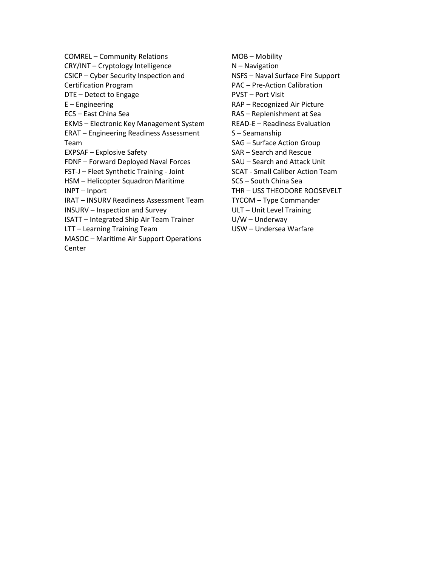COMREL – Community Relations CRY/INT – Cryptology Intelligence CSICP – Cyber Security Inspection and Certification Program DTE – Detect to Engage E – Engineering ECS – East China Sea EKMS – Electronic Key Management System ERAT – Engineering Readiness Assessment Team EXPSAF – Explosive Safety FDNF – Forward Deployed Naval Forces FST-J – Fleet Synthetic Training - Joint HSM – Helicopter Squadron Maritime INPT – Inport IRAT – INSURV Readiness Assessment Team INSURV – Inspection and Survey ISATT – Integrated Ship Air Team Trainer LTT – Learning Training Team MASOC – Maritime Air Support Operations Center

MOB – Mobility N – Navigation NSFS – Naval Surface Fire Support PAC – Pre-Action Calibration PVST – Port Visit RAP – Recognized Air Picture RAS – Replenishment at Sea READ-E – Readiness Evaluation S – Seamanship SAG – Surface Action Group SAR – Search and Rescue SAU – Search and Attack Unit SCAT - Small Caliber Action Team SCS – South China Sea THR – USS THEODORE ROOSEVELT TYCOM – Type Commander ULT – Unit Level Training U/W – Underway USW – Undersea Warfare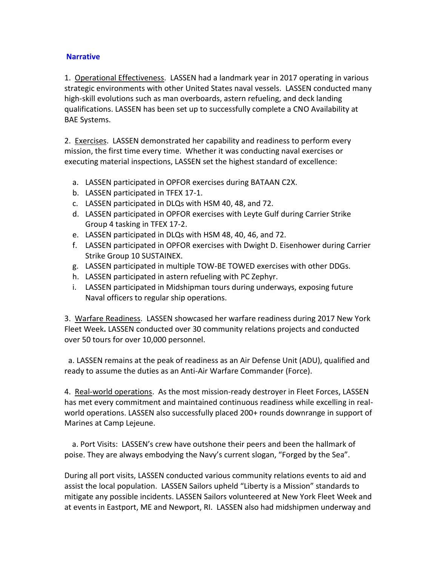### **Narrative**

1. Operational Effectiveness. LASSEN had a landmark year in 2017 operating in various strategic environments with other United States naval vessels. LASSEN conducted many high-skill evolutions such as man overboards, astern refueling, and deck landing qualifications. LASSEN has been set up to successfully complete a CNO Availability at BAE Systems.

2. Exercises. LASSEN demonstrated her capability and readiness to perform every mission, the first time every time. Whether it was conducting naval exercises or executing material inspections, LASSEN set the highest standard of excellence:

- a. LASSEN participated in OPFOR exercises during BATAAN C2X.
- b. LASSEN participated in TFEX 17-1.
- c. LASSEN participated in DLQs with HSM 40, 48, and 72.
- d. LASSEN participated in OPFOR exercises with Leyte Gulf during Carrier Strike Group 4 tasking in TFEX 17-2.
- e. LASSEN participated in DLQs with HSM 48, 40, 46, and 72.
- f. LASSEN participated in OPFOR exercises with Dwight D. Eisenhower during Carrier Strike Group 10 SUSTAINEX.
- g. LASSEN participated in multiple TOW-BE TOWED exercises with other DDGs.
- h. LASSEN participated in astern refueling with PC Zephyr.
- i. LASSEN participated in Midshipman tours during underways, exposing future Naval officers to regular ship operations.

3. Warfare Readiness. LASSEN showcased her warfare readiness during 2017 New York Fleet Week**.** LASSEN conducted over 30 community relations projects and conducted over 50 tours for over 10,000 personnel.

 a. LASSEN remains at the peak of readiness as an Air Defense Unit (ADU), qualified and ready to assume the duties as an Anti-Air Warfare Commander (Force).

4. Real-world operations. As the most mission-ready destroyer in Fleet Forces, LASSEN has met every commitment and maintained continuous readiness while excelling in realworld operations. LASSEN also successfully placed 200+ rounds downrange in support of Marines at Camp Lejeune.

 a. Port Visits: LASSEN's crew have outshone their peers and been the hallmark of poise. They are always embodying the Navy's current slogan, "Forged by the Sea".

During all port visits, LASSEN conducted various community relations events to aid and assist the local population. LASSEN Sailors upheld "Liberty is a Mission" standards to mitigate any possible incidents. LASSEN Sailors volunteered at New York Fleet Week and at events in Eastport, ME and Newport, RI. LASSEN also had midshipmen underway and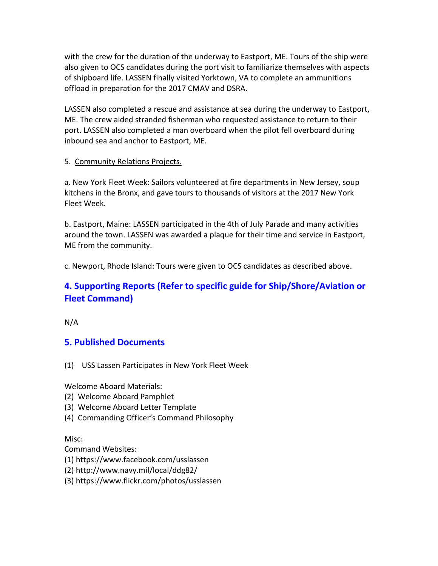with the crew for the duration of the underway to Eastport, ME. Tours of the ship were also given to OCS candidates during the port visit to familiarize themselves with aspects of shipboard life. LASSEN finally visited Yorktown, VA to complete an ammunitions offload in preparation for the 2017 CMAV and DSRA.

LASSEN also completed a rescue and assistance at sea during the underway to Eastport, ME. The crew aided stranded fisherman who requested assistance to return to their port. LASSEN also completed a man overboard when the pilot fell overboard during inbound sea and anchor to Eastport, ME.

#### 5. Community Relations Projects.

a. New York Fleet Week: Sailors volunteered at fire departments in New Jersey, soup kitchens in the Bronx, and gave tours to thousands of visitors at the 2017 New York Fleet Week.

b. Eastport, Maine: LASSEN participated in the 4th of July Parade and many activities around the town. LASSEN was awarded a plaque for their time and service in Eastport, ME from the community.

c. Newport, Rhode Island: Tours were given to OCS candidates as described above.

# **4. Supporting Reports (Refer to specific guide for Ship/Shore/Aviation or Fleet Command)**

N/A

## **5. Published Documents**

(1) USS Lassen Participates in New York Fleet Week

Welcome Aboard Materials:

- (2) Welcome Aboard Pamphlet
- (3) Welcome Aboard Letter Template
- (4) Commanding Officer's Command Philosophy

Misc:

Command Websites:

- (1) https://www.facebook.com/usslassen
- (2) http://www.navy.mil/local/ddg82/
- (3) https://www.flickr.com/photos/usslassen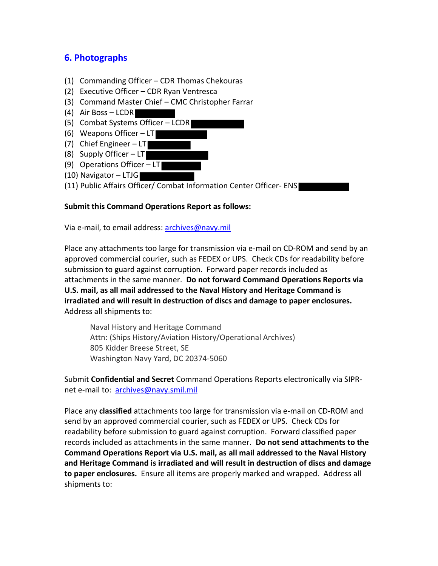# **6. Photographs**

- (1) Commanding Officer CDR Thomas Chekouras
- (2) Executive Officer CDR Ryan Ventresca
- (3) Command Master Chief CMC Christopher Farrar
- (4) Air Boss LCDR
- (5) Combat Systems Officer LCDR
- (6) Weapons Officer  $-LT$
- (7) Chief Engineer LT
- (8) Supply Officer  $-LT$
- (9) Operations Officer LT
- (10) Navigator LTJG
- (11) Public Affairs Officer/ Combat Information Center Officer- ENS

### **Submit this Command Operations Report as follows:**

Via e-mail, to email address: **archives@navy.mil** 

Place any attachments too large for transmission via e-mail on CD-ROM and send by an approved commercial courier, such as FEDEX or UPS. Check CDs for readability before submission to guard against corruption. Forward paper records included as attachments in the same manner. **Do not forward Command Operations Reports via U.S. mail, as all mail addressed to the Naval History and Heritage Command is irradiated and will result in destruction of discs and damage to paper enclosures.** Address all shipments to:

Naval History and Heritage Command Attn: (Ships History/Aviation History/Operational Archives) 805 Kidder Breese Street, SE Washington Navy Yard, DC 20374-5060

Submit **Confidential and Secret** Command Operations Reports electronically via SIPRnet e-mail to: archives@navy.smil.mil

Place any **classified** attachments too large for transmission via e-mail on CD-ROM and send by an approved commercial courier, such as FEDEX or UPS. Check CDs for readability before submission to guard against corruption. Forward classified paper records included as attachments in the same manner. **Do not send attachments to the Command Operations Report via U.S. mail, as all mail addressed to the Naval History and Heritage Command is irradiated and will result in destruction of discs and damage to paper enclosures.** Ensure all items are properly marked and wrapped. Address all shipments to: